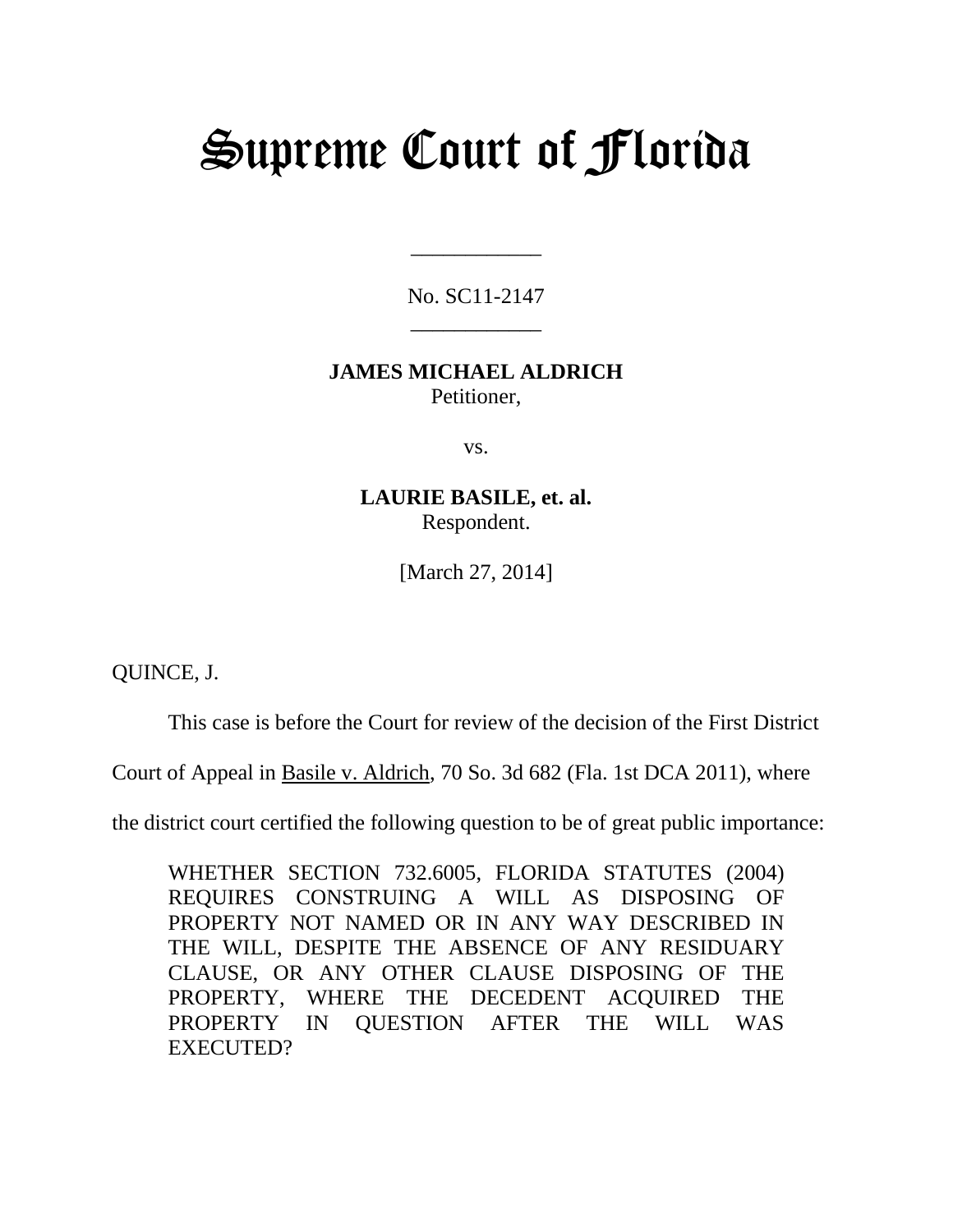# Supreme Court of Florida

No. SC11-2147 \_\_\_\_\_\_\_\_\_\_\_\_

\_\_\_\_\_\_\_\_\_\_\_\_

## **JAMES MICHAEL ALDRICH**  Petitioner,

vs.

**LAURIE BASILE, et. al.**  Respondent.

[March 27, 2014]

QUINCE, J.

This case is before the Court for review of the decision of the First District

Court of Appeal in Basile v. Aldrich, 70 So. 3d 682 (Fla. 1st DCA 2011), where

the district court certified the following question to be of great public importance:

WHETHER SECTION 732.6005, FLORIDA STATUTES (2004) REQUIRES CONSTRUING A WILL AS DISPOSING OF PROPERTY NOT NAMED OR IN ANY WAY DESCRIBED IN THE WILL, DESPITE THE ABSENCE OF ANY RESIDUARY CLAUSE, OR ANY OTHER CLAUSE DISPOSING OF THE PROPERTY, WHERE THE DECEDENT ACQUIRED THE PROPERTY IN QUESTION AFTER THE WILL WAS EXECUTED?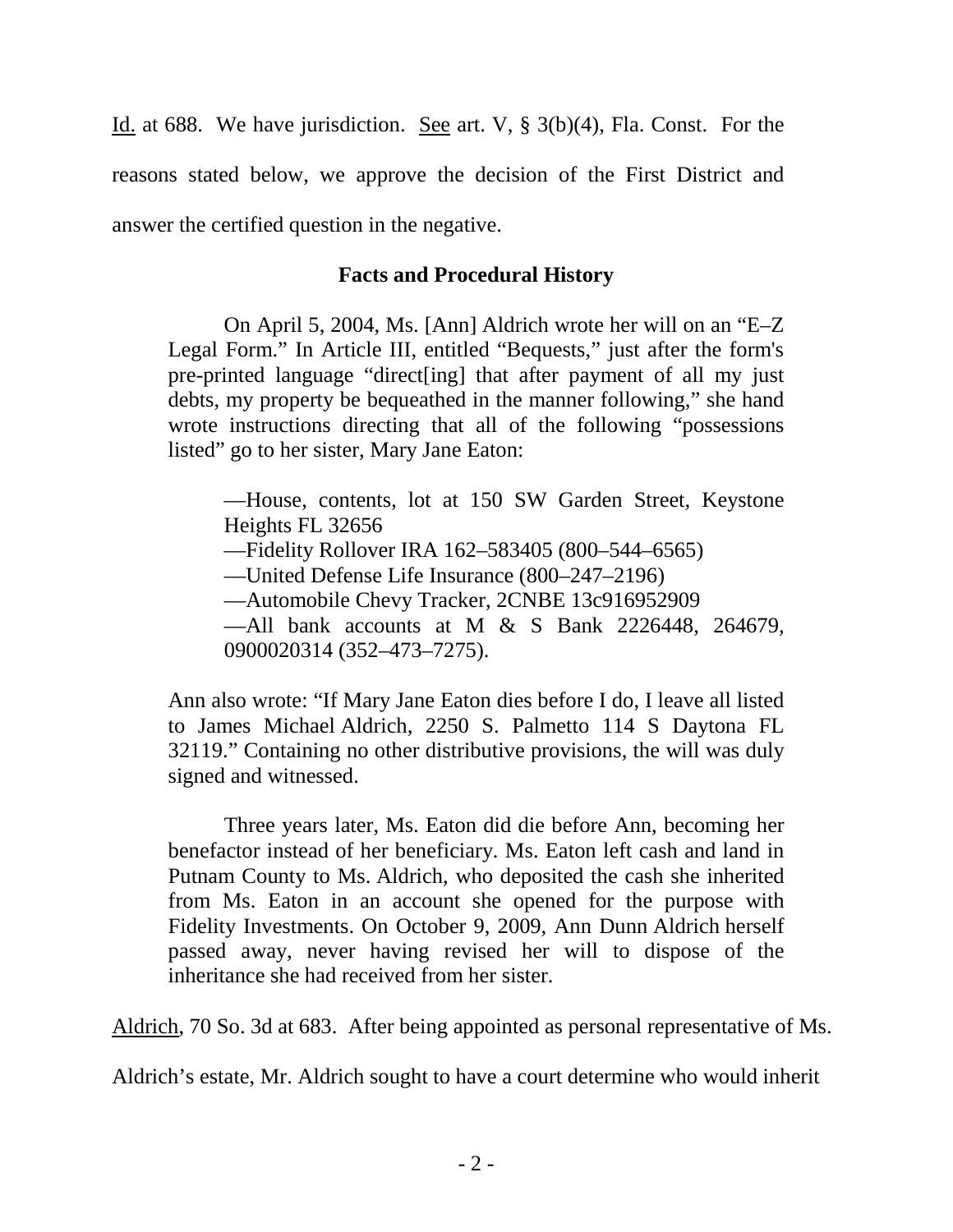Id. at 688. We have jurisdiction. See art. V, § 3(b)(4), Fla. Const. For the reasons stated below, we approve the decision of the First District and answer the certified question in the negative.

### **Facts and Procedural History**

On April 5, 2004, Ms. [Ann] Aldrich wrote her will on an "E–Z Legal Form." In Article III, entitled "Bequests," just after the form's pre-printed language "direct[ing] that after payment of all my just debts, my property be bequeathed in the manner following," she hand wrote instructions directing that all of the following "possessions listed" go to her sister, Mary Jane Eaton:

—House, contents, lot at 150 SW Garden Street, Keystone Heights FL 32656 —Fidelity Rollover IRA 162–583405 (800–544–6565) —United Defense Life Insurance (800–247–2196) —Automobile Chevy Tracker, 2CNBE 13c916952909 —All bank accounts at M & S Bank 2226448, 264679, 0900020314 (352–473–7275).

Ann also wrote: "If Mary Jane Eaton dies before I do, I leave all listed to James Michael Aldrich, 2250 S. Palmetto 114 S Daytona FL 32119." Containing no other distributive provisions, the will was duly signed and witnessed.

Three years later, Ms. Eaton did die before Ann, becoming her benefactor instead of her beneficiary. Ms. Eaton left cash and land in Putnam County to Ms. Aldrich, who deposited the cash she inherited from Ms. Eaton in an account she opened for the purpose with Fidelity Investments. On October 9, 2009, Ann Dunn Aldrich herself passed away, never having revised her will to dispose of the inheritance she had received from her sister.

Aldrich, 70 So. 3d at 683. After being appointed as personal representative of Ms.

Aldrich's estate, Mr. Aldrich sought to have a court determine who would inherit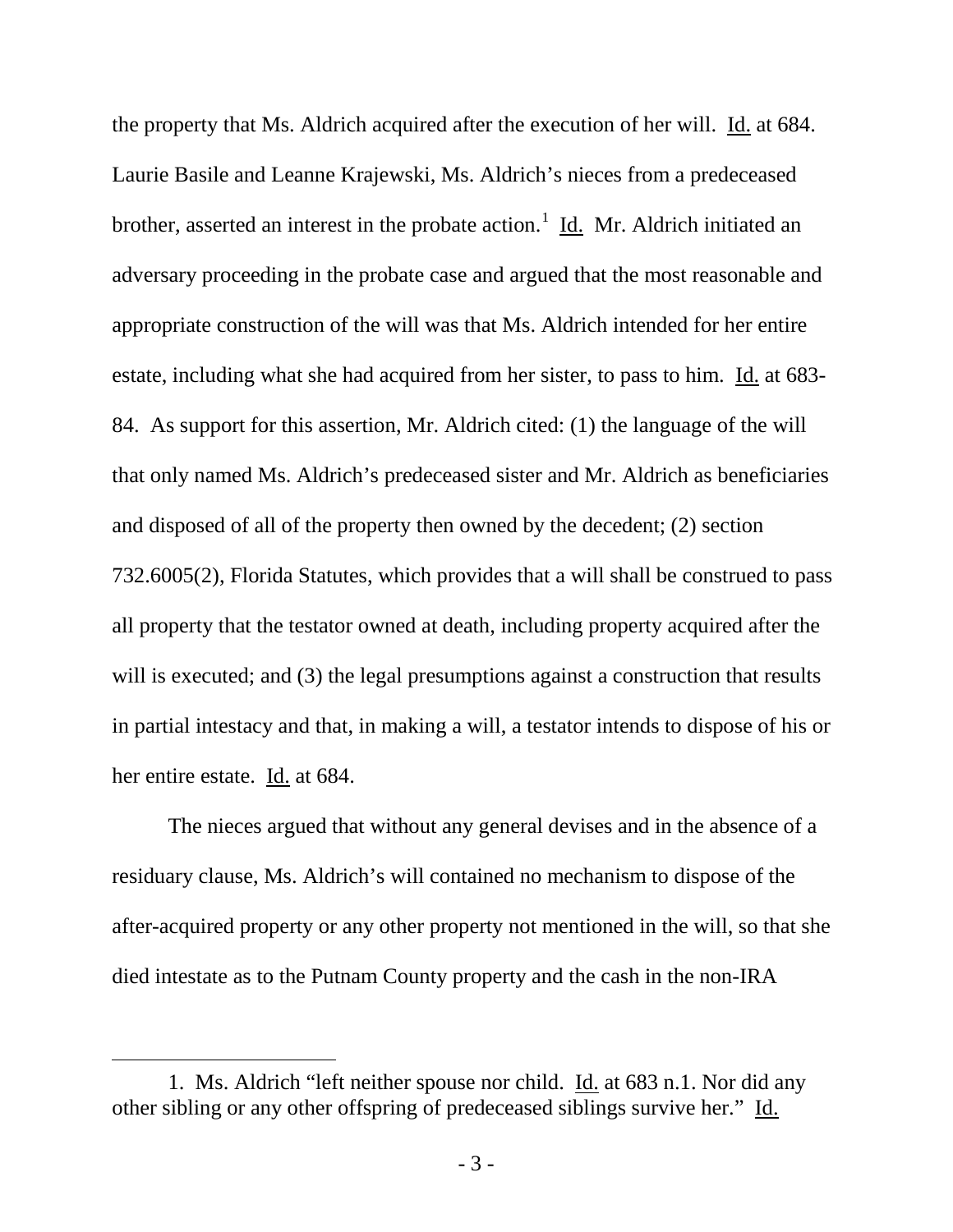the property that Ms. Aldrich acquired after the execution of her will. Id. at 684. Laurie Basile and Leanne Krajewski, Ms. Aldrich's nieces from a predeceased brother, asserted an interest in the probate action.<sup>[1](#page-2-0)</sup> Id. Mr. Aldrich initiated an adversary proceeding in the probate case and argued that the most reasonable and appropriate construction of the will was that Ms. Aldrich intended for her entire estate, including what she had acquired from her sister, to pass to him. Id. at 683-84. As support for this assertion, Mr. Aldrich cited: (1) the language of the will that only named Ms. Aldrich's predeceased sister and Mr. Aldrich as beneficiaries and disposed of all of the property then owned by the decedent; (2) section 732.6005(2), Florida Statutes, which provides that a will shall be construed to pass all property that the testator owned at death, including property acquired after the will is executed; and (3) the legal presumptions against a construction that results in partial intestacy and that, in making a will, a testator intends to dispose of his or her entire estate. Id. at 684.

The nieces argued that without any general devises and in the absence of a residuary clause, Ms. Aldrich's will contained no mechanism to dispose of the after-acquired property or any other property not mentioned in the will, so that she died intestate as to the Putnam County property and the cash in the non-IRA

 $\overline{a}$ 

<span id="page-2-0"></span><sup>1.</sup> Ms. Aldrich "left neither spouse nor child. Id. at 683 n.1. Nor did any other sibling or any other offspring of predeceased siblings survive her." Id.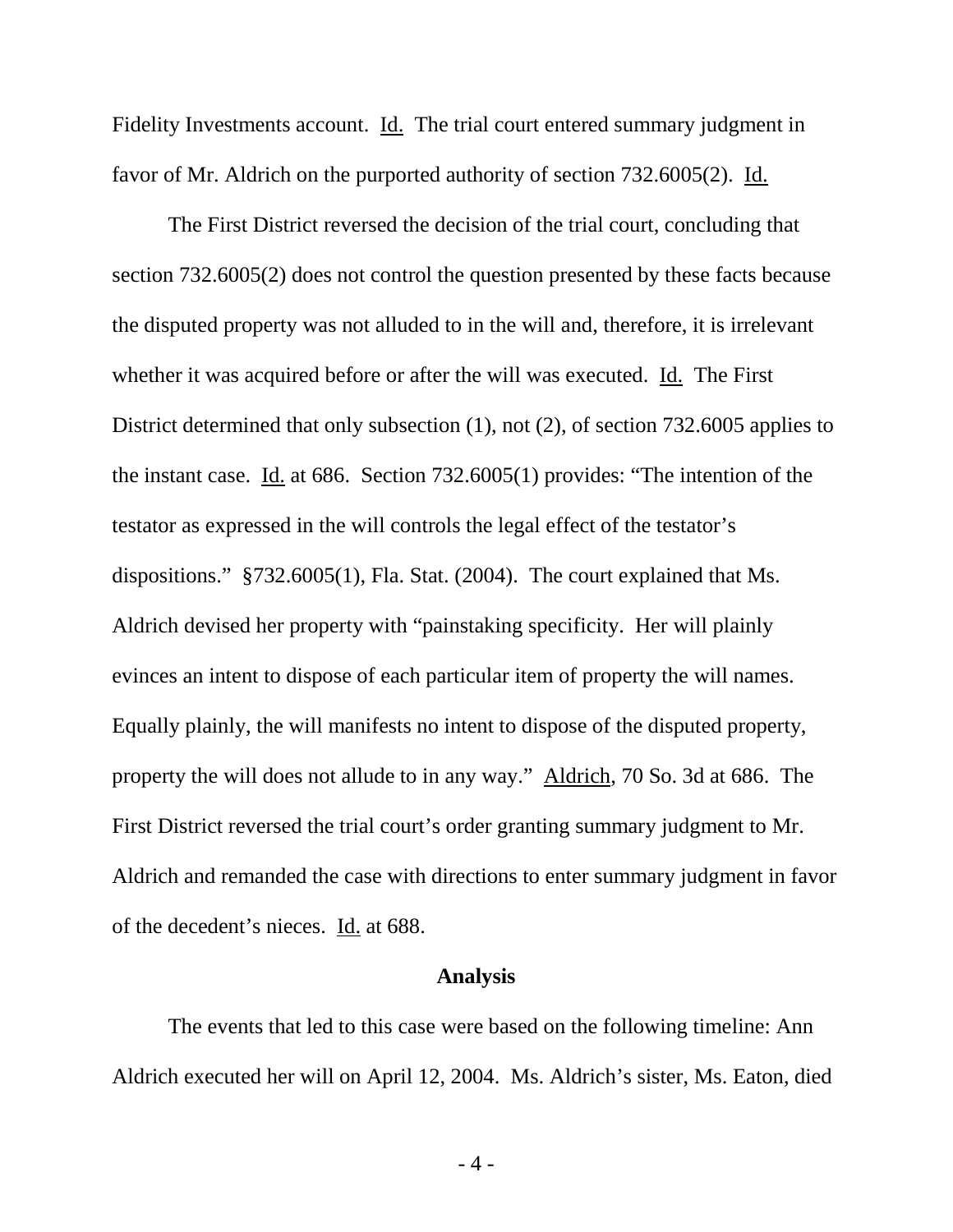Fidelity Investments account. Id. The trial court entered summary judgment in favor of Mr. Aldrich on the purported authority of section 732.6005(2). Id.

The First District reversed the decision of the trial court, concluding that section 732.6005(2) does not control the question presented by these facts because the disputed property was not alluded to in the will and, therefore, it is irrelevant whether it was acquired before or after the will was executed. Id. The First District determined that only subsection (1), not (2), of section 732.6005 applies to the instant case. Id. at 686. Section 732.6005(1) provides: "The intention of the testator as expressed in the will controls the legal effect of the testator's dispositions." §732.6005(1), Fla. Stat. (2004). The court explained that Ms. Aldrich devised her property with "painstaking specificity. Her will plainly evinces an intent to dispose of each particular item of property the will names. Equally plainly, the will manifests no intent to dispose of the disputed property, property the will does not allude to in any way." Aldrich, 70 So. 3d at 686. The First District reversed the trial court's order granting summary judgment to Mr. Aldrich and remanded the case with directions to enter summary judgment in favor of the decedent's nieces. Id. at 688.

#### **Analysis**

The events that led to this case were based on the following timeline: Ann Aldrich executed her will on April 12, 2004. Ms. Aldrich's sister, Ms. Eaton, died

- 4 -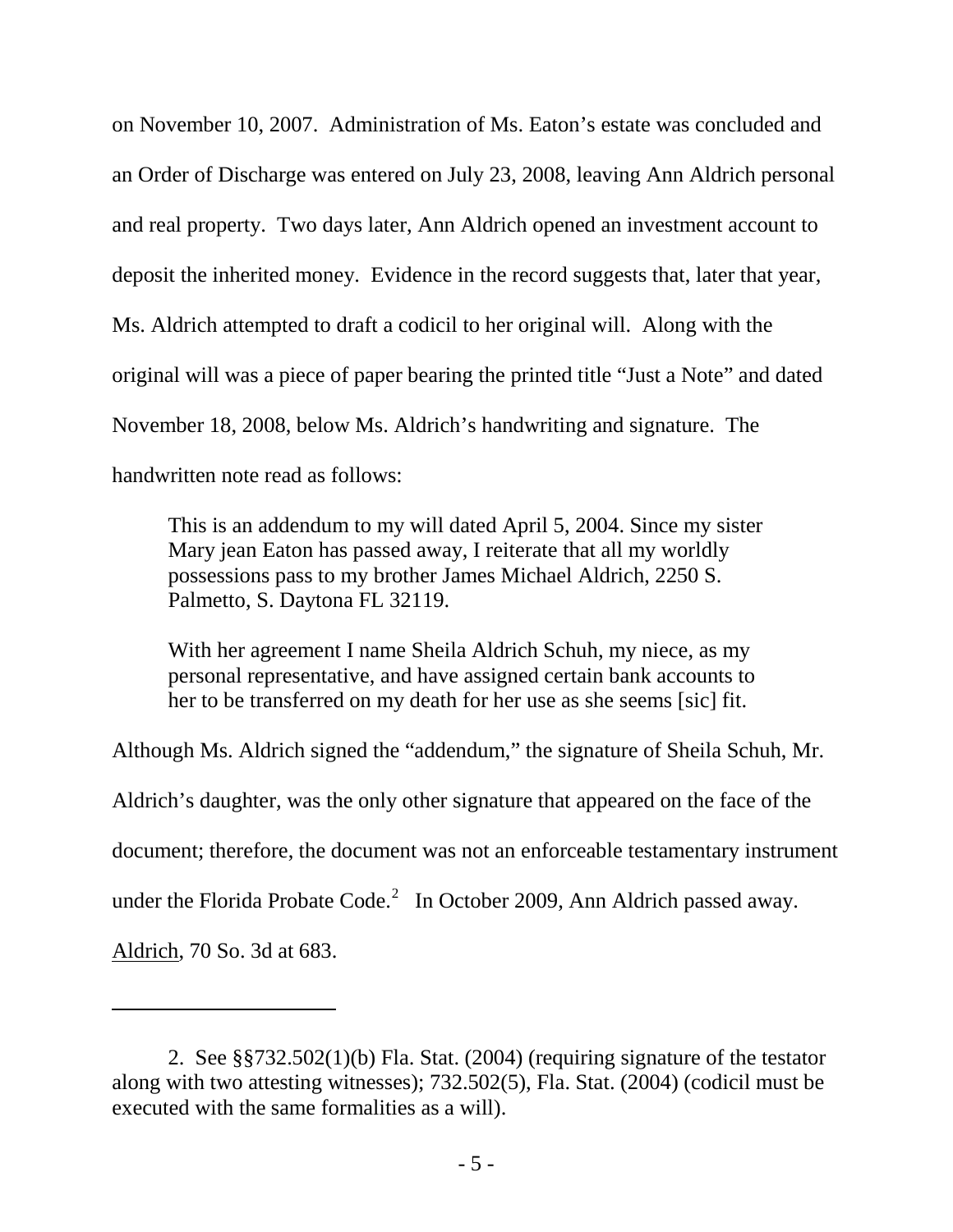on November 10, 2007. Administration of Ms. Eaton's estate was concluded and an Order of Discharge was entered on July 23, 2008, leaving Ann Aldrich personal and real property. Two days later, Ann Aldrich opened an investment account to deposit the inherited money. Evidence in the record suggests that, later that year, Ms. Aldrich attempted to draft a codicil to her original will. Along with the original will was a piece of paper bearing the printed title "Just a Note" and dated November 18, 2008, below Ms. Aldrich's handwriting and signature. The handwritten note read as follows:

This is an addendum to my will dated April 5, 2004. Since my sister Mary jean Eaton has passed away, I reiterate that all my worldly possessions pass to my brother James Michael Aldrich, 2250 S. Palmetto, S. Daytona FL 32119.

With her agreement I name Sheila Aldrich Schuh, my niece, as my personal representative, and have assigned certain bank accounts to her to be transferred on my death for her use as she seems [sic] fit.

Although Ms. Aldrich signed the "addendum," the signature of Sheila Schuh, Mr.

Aldrich's daughter, was the only other signature that appeared on the face of the

document; therefore, the document was not an enforceable testamentary instrument

under the Florida Probate Code.<sup>[2](#page-4-0)</sup> In October 2009, Ann Aldrich passed away.

Aldrich, 70 So. 3d at 683.

 $\overline{a}$ 

<span id="page-4-0"></span><sup>2.</sup> See §§732.502(1)(b) Fla. Stat. (2004) (requiring signature of the testator along with two attesting witnesses); 732.502(5), Fla. Stat. (2004) (codicil must be executed with the same formalities as a will).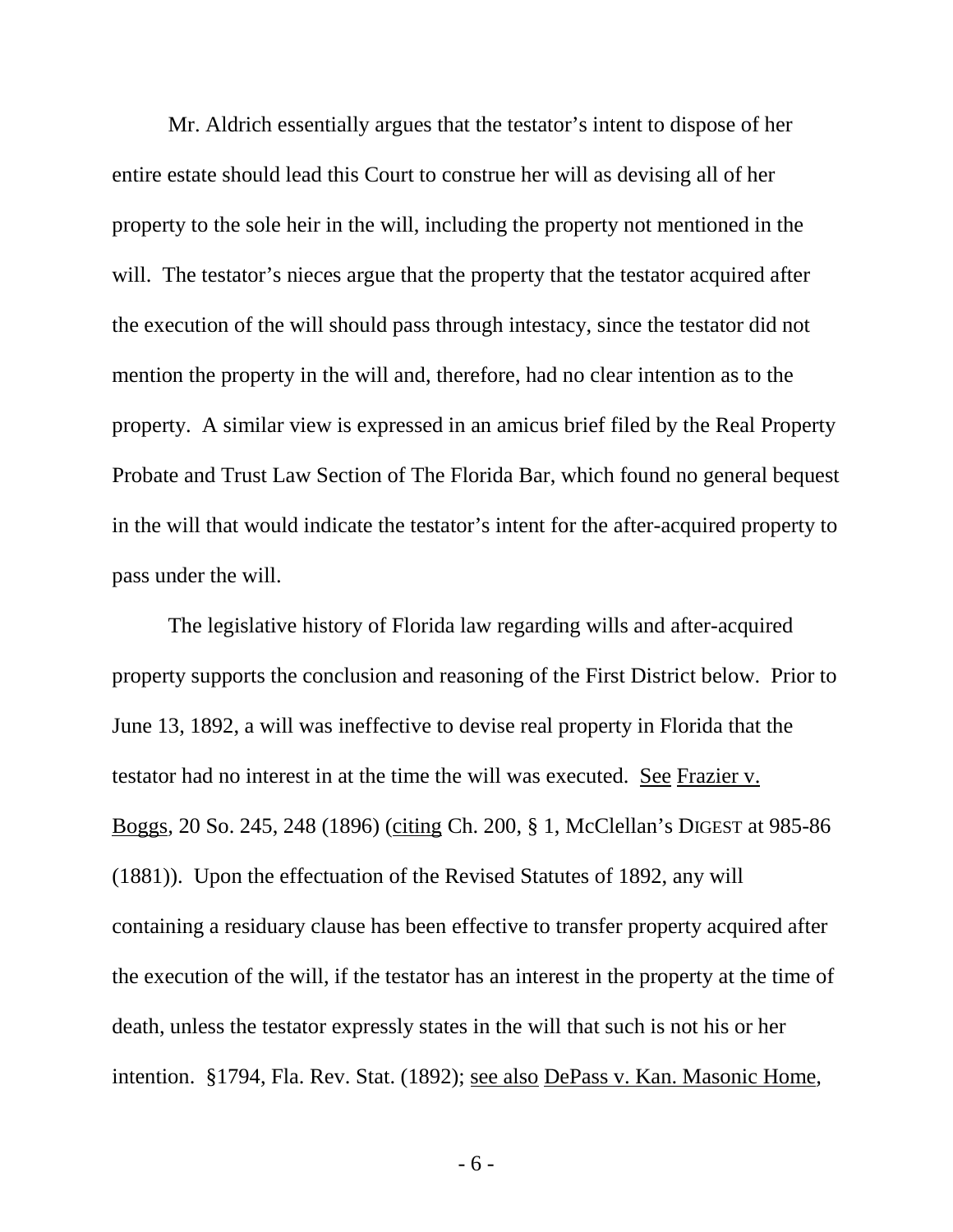Mr. Aldrich essentially argues that the testator's intent to dispose of her entire estate should lead this Court to construe her will as devising all of her property to the sole heir in the will, including the property not mentioned in the will. The testator's nieces argue that the property that the testator acquired after the execution of the will should pass through intestacy, since the testator did not mention the property in the will and, therefore, had no clear intention as to the property. A similar view is expressed in an amicus brief filed by the Real Property Probate and Trust Law Section of The Florida Bar, which found no general bequest in the will that would indicate the testator's intent for the after-acquired property to pass under the will.

The legislative history of Florida law regarding wills and after-acquired property supports the conclusion and reasoning of the First District below. Prior to June 13, 1892, a will was ineffective to devise real property in Florida that the testator had no interest in at the time the will was executed. See Frazier v. Boggs*,* 20 So. 245, 248 (1896) (citing Ch. 200, § 1, McClellan's DIGEST at 985-86 (1881)). Upon the effectuation of the Revised Statutes of 1892, any will containing a residuary clause has been effective to transfer property acquired after the execution of the will, if the testator has an interest in the property at the time of death, unless the testator expressly states in the will that such is not his or her intention. §1794, Fla. Rev. Stat. (1892); see also DePass v. Kan. Masonic Home*,*

- 6 -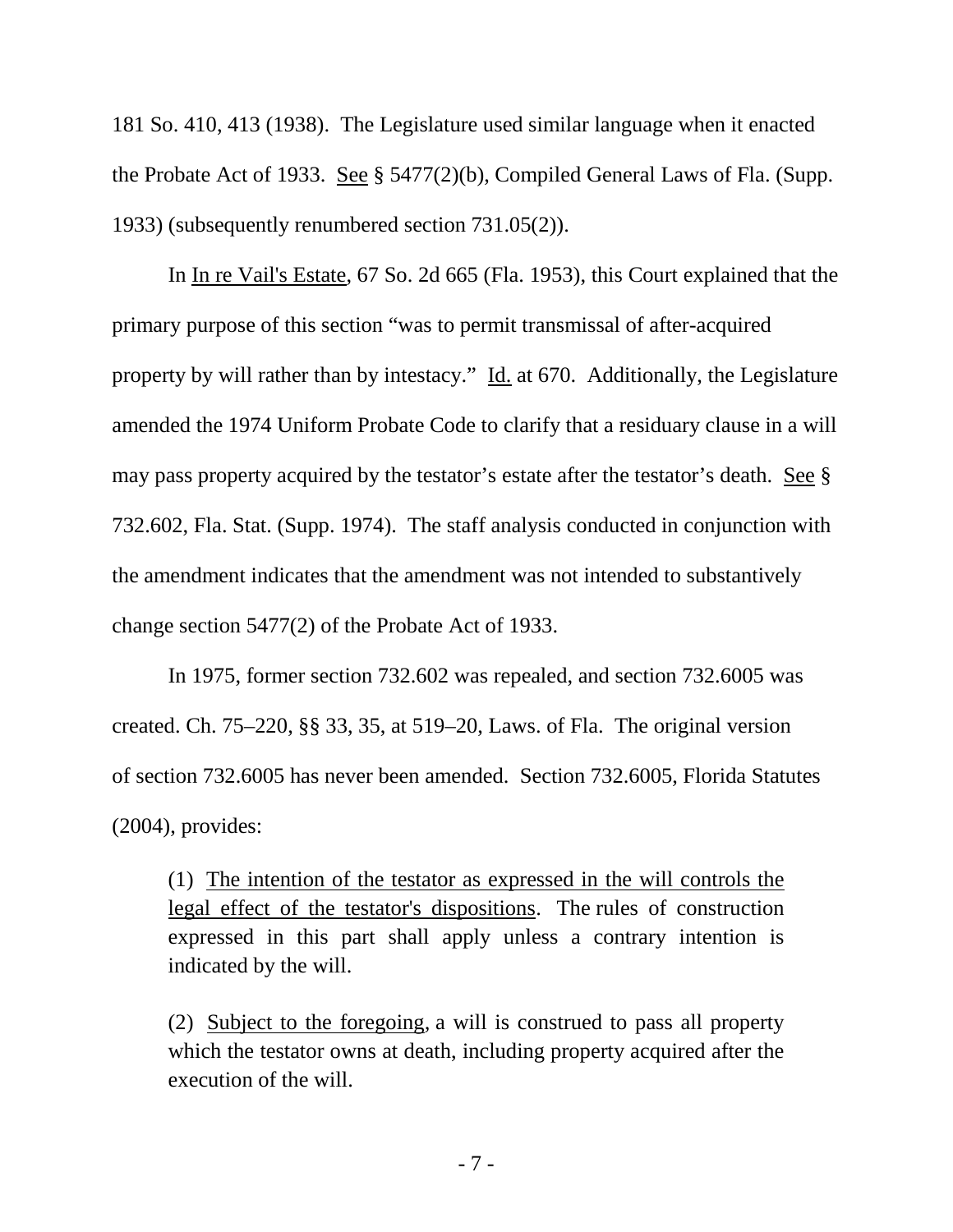181 So. 410, 413 (1938). The Legislature used similar language when it enacted the Probate Act of 1933. See § 5477(2)(b), Compiled General Laws of Fla. (Supp. 1933) (subsequently renumbered section 731.05(2)).

In In re Vail's Estate, 67 So. 2d 665 (Fla. 1953), this Court explained that the primary purpose of this section "was to permit transmissal of after-acquired property by will rather than by intestacy." Id. at 670. Additionally, the Legislature amended the 1974 Uniform Probate Code to clarify that a residuary clause in a will may pass property acquired by the testator's estate after the testator's death. See § 732.602, Fla. Stat. (Supp. 1974). The staff analysis conducted in conjunction with the amendment indicates that the amendment was not intended to substantively change section 5477(2) of the Probate Act of 1933.

In 1975, former section 732.602 was repealed, and section 732.6005 was created. Ch. 75–220, §§ 33, 35, at 519–20, Laws. of Fla. The original version of section 732.6005 has never been amended. Section 732.6005, Florida Statutes (2004), provides:

(1) The intention of the testator as expressed in the will controls the legal effect of the testator's dispositions. The rules of construction expressed in this part shall apply unless a contrary intention is indicated by the will.

(2) Subject to the foregoing*,* a will is construed to pass all property which the testator owns at death, including property acquired after the execution of the will.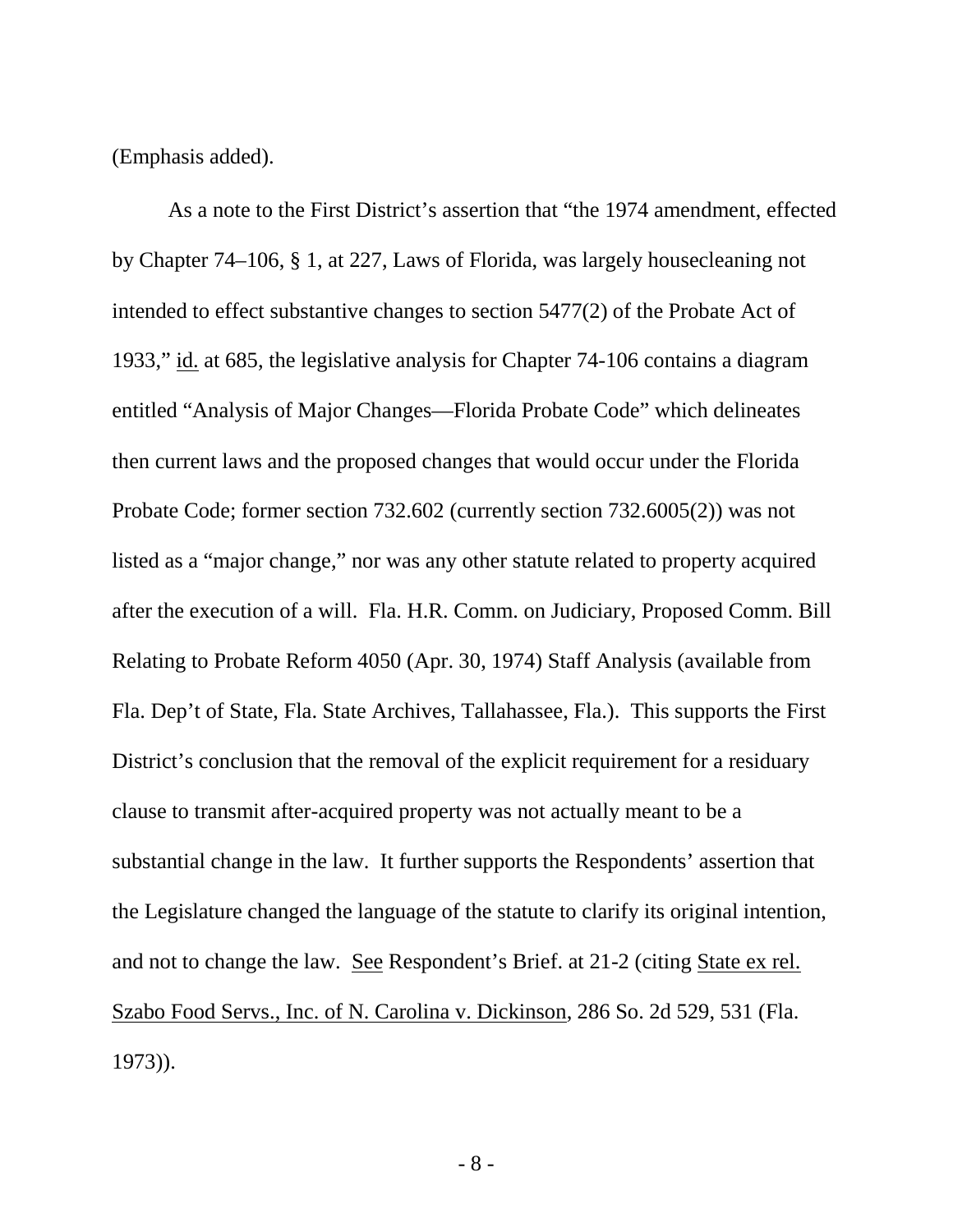(Emphasis added).

As a note to the First District's assertion that "the 1974 amendment, effected by Chapter 74–106, § 1, at 227, Laws of Florida, was largely housecleaning not intended to effect substantive changes to section 5477(2) of the Probate Act of 1933," id. at 685, the legislative analysis for Chapter 74-106 contains a diagram entitled "Analysis of Major Changes—Florida Probate Code" which delineates then current laws and the proposed changes that would occur under the Florida Probate Code; former section 732.602 (currently section 732.6005(2)) was not listed as a "major change," nor was any other statute related to property acquired after the execution of a will. Fla. H.R. Comm. on Judiciary, Proposed Comm. Bill Relating to Probate Reform 4050 (Apr. 30, 1974) Staff Analysis (available from Fla. Dep't of State, Fla. State Archives, Tallahassee, Fla.). This supports the First District's conclusion that the removal of the explicit requirement for a residuary clause to transmit after-acquired property was not actually meant to be a substantial change in the law. It further supports the Respondents' assertion that the Legislature changed the language of the statute to clarify its original intention, and not to change the law. See Respondent's Brief. at 21-2 (citing State ex rel. Szabo Food Servs., Inc. of N. Carolina v. Dickinson, 286 So. 2d 529, 531 (Fla. 1973)).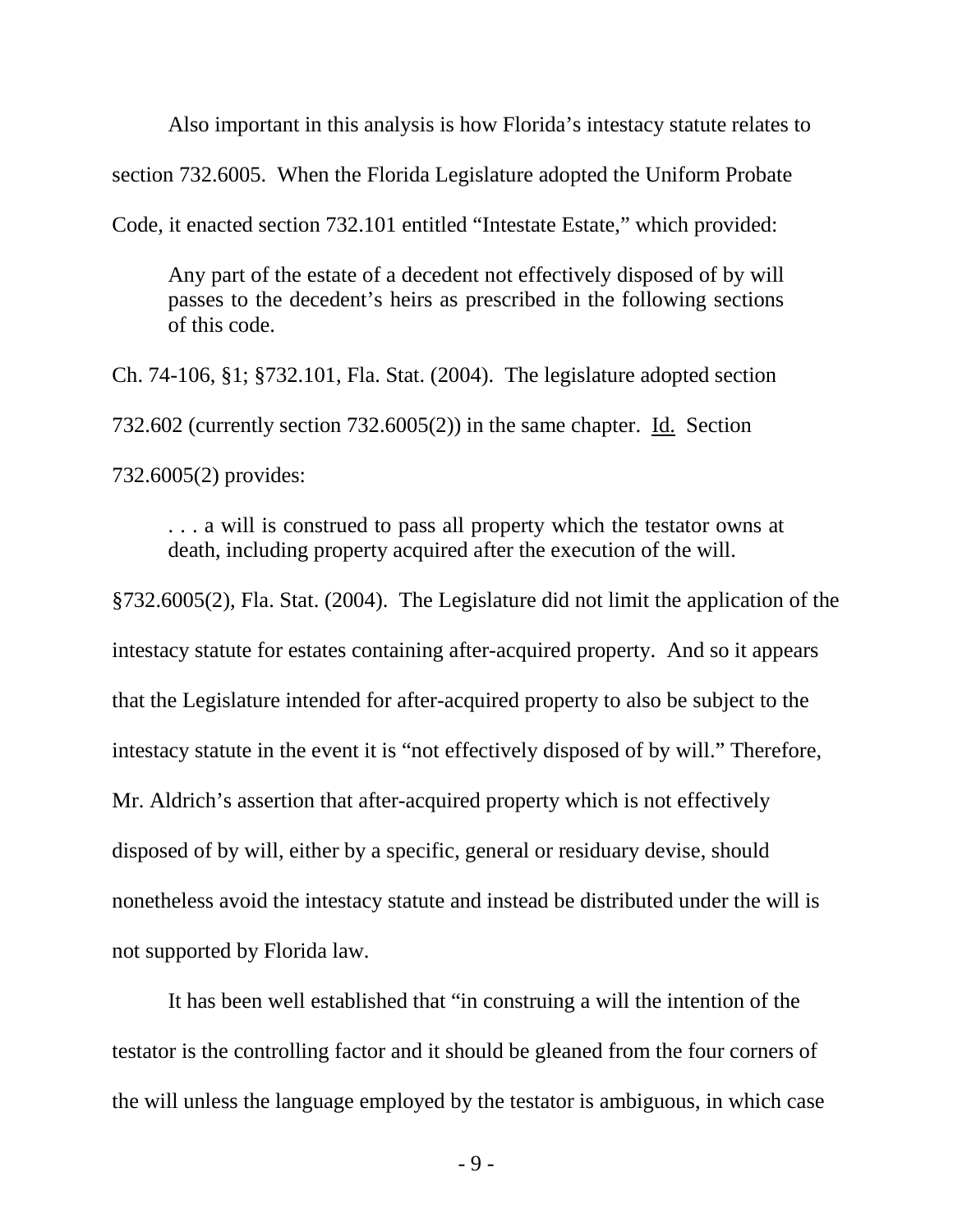Also important in this analysis is how Florida's intestacy statute relates to section 732.6005. When the Florida Legislature adopted the Uniform Probate Code, it enacted section 732.101 entitled "Intestate Estate," which provided:

Any part of the estate of a decedent not effectively disposed of by will passes to the decedent's heirs as prescribed in the following sections of this code.

Ch. 74-106, §1; §732.101, Fla. Stat. (2004). The legislature adopted section 732.602 (currently section 732.6005(2)) in the same chapter. Id. Section 732.6005(2) provides:

. . . a will is construed to pass all property which the testator owns at death, including property acquired after the execution of the will.

§732.6005(2), Fla. Stat. (2004). The Legislature did not limit the application of the intestacy statute for estates containing after-acquired property. And so it appears that the Legislature intended for after-acquired property to also be subject to the intestacy statute in the event it is "not effectively disposed of by will." Therefore, Mr. Aldrich's assertion that after-acquired property which is not effectively disposed of by will, either by a specific, general or residuary devise, should nonetheless avoid the intestacy statute and instead be distributed under the will is not supported by Florida law.

It has been well established that "in construing a will the intention of the testator is the controlling factor and it should be gleaned from the four corners of the will unless the language employed by the testator is ambiguous, in which case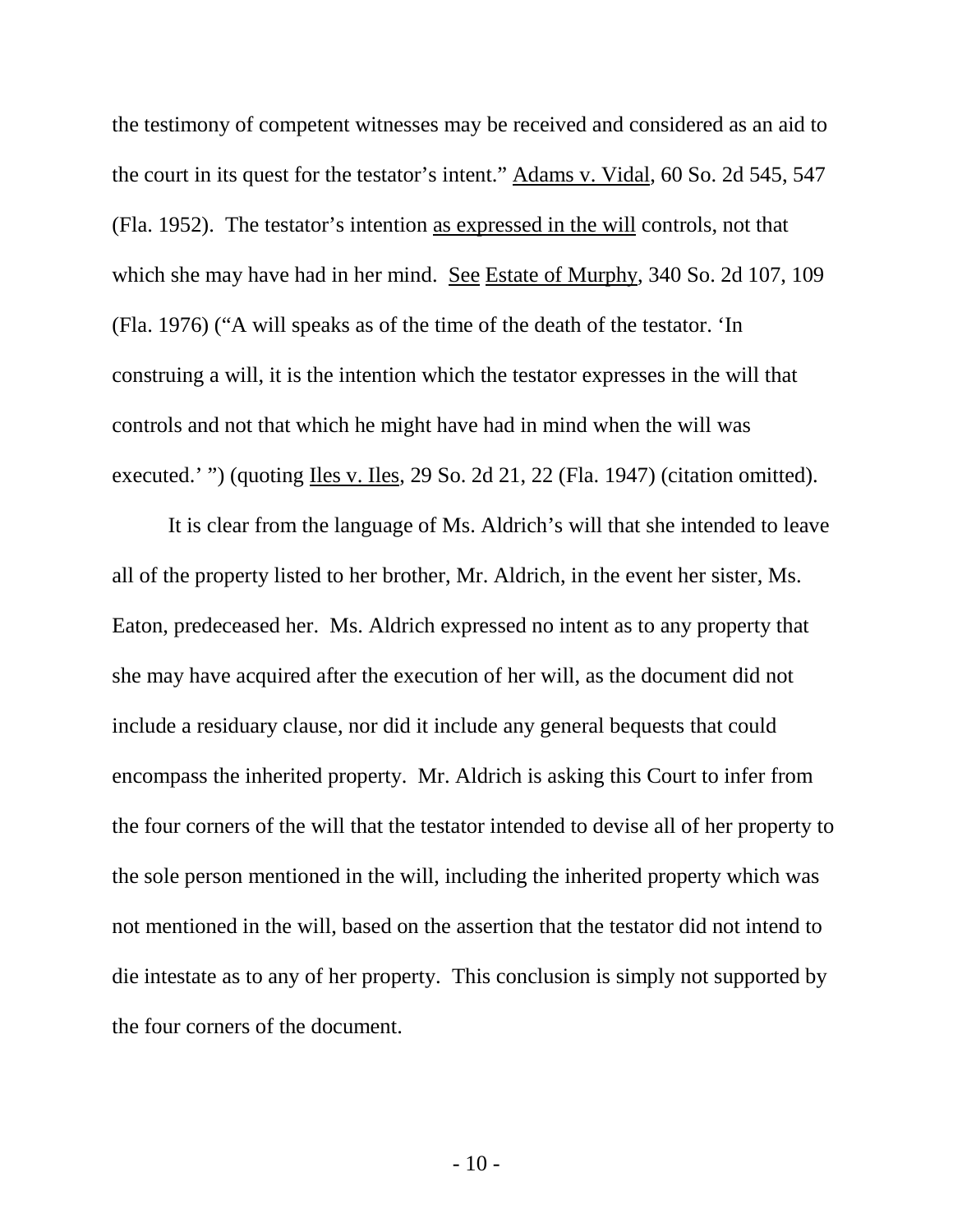the testimony of competent witnesses may be received and considered as an aid to the court in its quest for the testator's intent." Adams v. Vidal, 60 So. 2d 545, 547 (Fla. 1952). The testator's intention as expressed in the will controls, not that which she may have had in her mind. See Estate of Murphy, 340 So. 2d 107, 109 (Fla. 1976) ("A will speaks as of the time of the death of the testator. 'In construing a will, it is the intention which the testator expresses in the will that controls and not that which he might have had in mind when the will was executed.' ") (quoting Iles v. Iles, 29 So. 2d 21, 22 (Fla. 1947) (citation omitted).

It is clear from the language of Ms. Aldrich's will that she intended to leave all of the property listed to her brother, Mr. Aldrich, in the event her sister, Ms. Eaton, predeceased her. Ms. Aldrich expressed no intent as to any property that she may have acquired after the execution of her will, as the document did not include a residuary clause, nor did it include any general bequests that could encompass the inherited property. Mr. Aldrich is asking this Court to infer from the four corners of the will that the testator intended to devise all of her property to the sole person mentioned in the will, including the inherited property which was not mentioned in the will, based on the assertion that the testator did not intend to die intestate as to any of her property. This conclusion is simply not supported by the four corners of the document.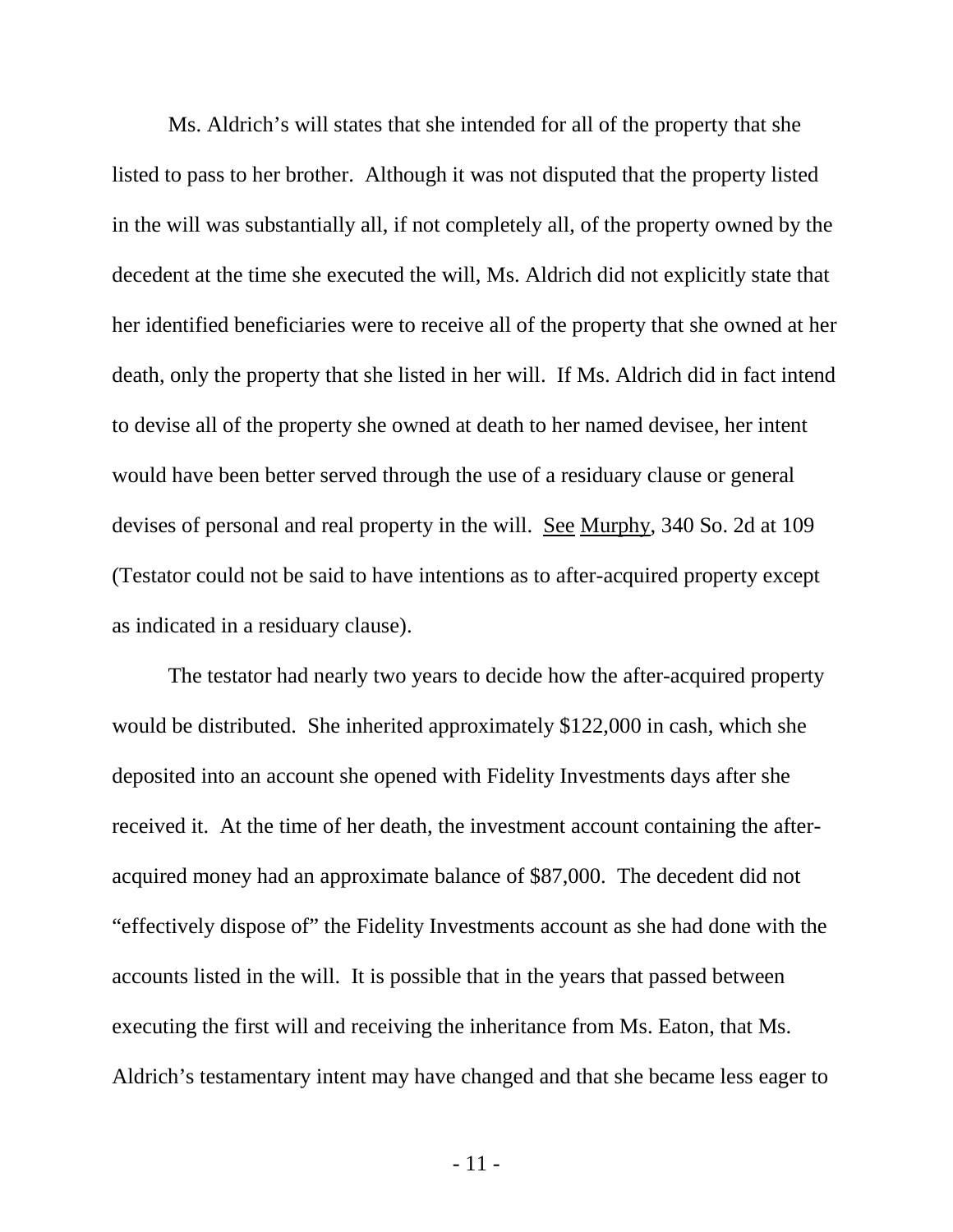Ms. Aldrich's will states that she intended for all of the property that she listed to pass to her brother. Although it was not disputed that the property listed in the will was substantially all, if not completely all, of the property owned by the decedent at the time she executed the will, Ms. Aldrich did not explicitly state that her identified beneficiaries were to receive all of the property that she owned at her death, only the property that she listed in her will. If Ms. Aldrich did in fact intend to devise all of the property she owned at death to her named devisee, her intent would have been better served through the use of a residuary clause or general devises of personal and real property in the will. See Murphy, 340 So. 2d at 109 (Testator could not be said to have intentions as to after-acquired property except as indicated in a residuary clause).

The testator had nearly two years to decide how the after-acquired property would be distributed. She inherited approximately \$122,000 in cash, which she deposited into an account she opened with Fidelity Investments days after she received it. At the time of her death, the investment account containing the afteracquired money had an approximate balance of \$87,000. The decedent did not "effectively dispose of" the Fidelity Investments account as she had done with the accounts listed in the will. It is possible that in the years that passed between executing the first will and receiving the inheritance from Ms. Eaton, that Ms. Aldrich's testamentary intent may have changed and that she became less eager to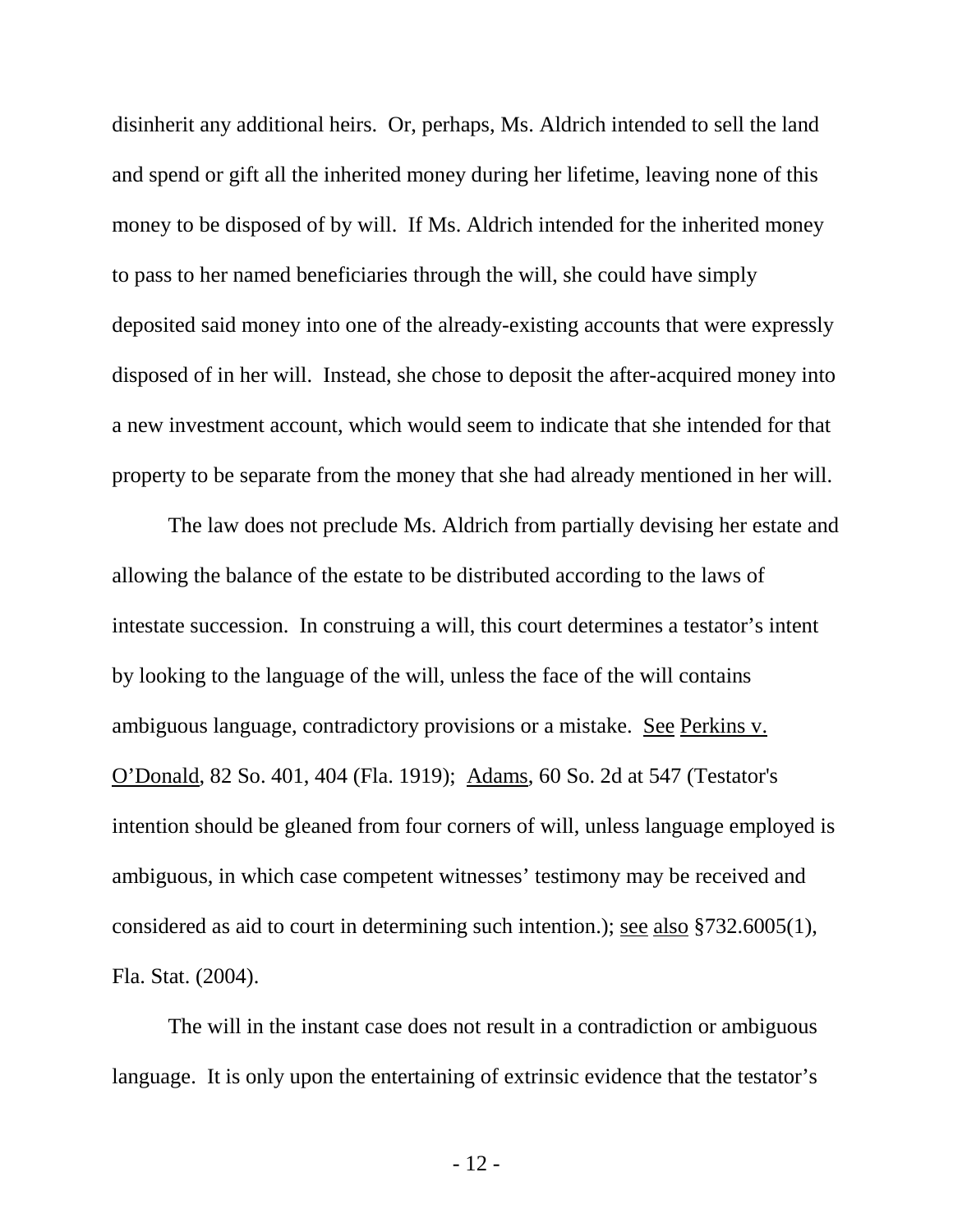disinherit any additional heirs. Or, perhaps, Ms. Aldrich intended to sell the land and spend or gift all the inherited money during her lifetime, leaving none of this money to be disposed of by will. If Ms. Aldrich intended for the inherited money to pass to her named beneficiaries through the will, she could have simply deposited said money into one of the already-existing accounts that were expressly disposed of in her will. Instead, she chose to deposit the after-acquired money into a new investment account, which would seem to indicate that she intended for that property to be separate from the money that she had already mentioned in her will.

The law does not preclude Ms. Aldrich from partially devising her estate and allowing the balance of the estate to be distributed according to the laws of intestate succession. In construing a will, this court determines a testator's intent by looking to the language of the will, unless the face of the will contains ambiguous language, contradictory provisions or a mistake. See Perkins v. O'Donald, 82 So. 401, 404 (Fla. 1919); Adams, 60 So. 2d at 547 (Testator's intention should be gleaned from four corners of will, unless language employed is ambiguous, in which case competent witnesses' testimony may be received and considered as aid to court in determining such intention.); see also §732.6005(1), Fla. Stat. (2004).

The will in the instant case does not result in a contradiction or ambiguous language. It is only upon the entertaining of extrinsic evidence that the testator's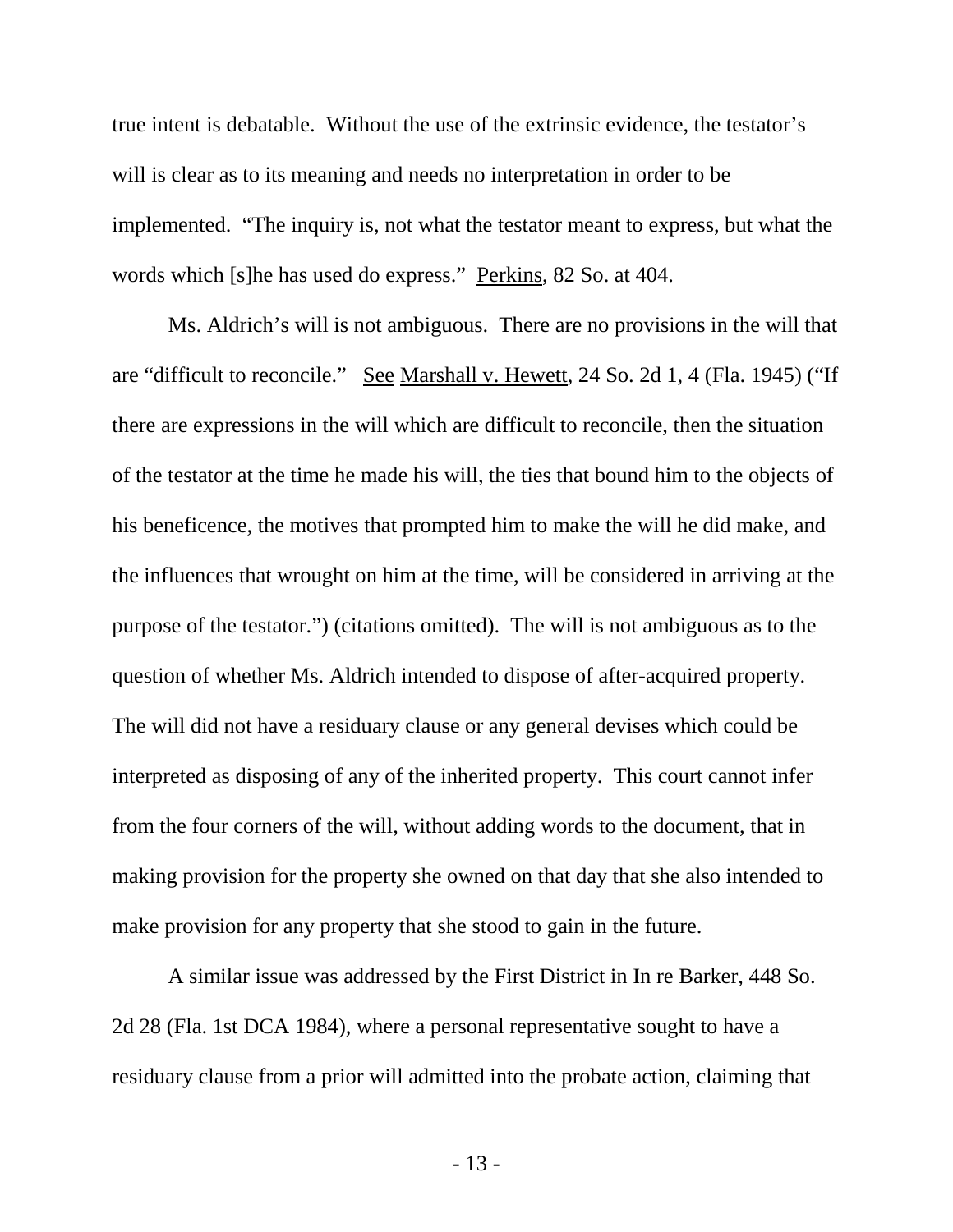true intent is debatable. Without the use of the extrinsic evidence, the testator's will is clear as to its meaning and needs no interpretation in order to be implemented. "The inquiry is, not what the testator meant to express, but what the words which [s]he has used do express." Perkins, 82 So. at 404.

Ms. Aldrich's will is not ambiguous. There are no provisions in the will that are "difficult to reconcile." See Marshall v. Hewett, 24 So. 2d 1, 4 (Fla. 1945) ("If there are expressions in the will which are difficult to reconcile, then the situation of the testator at the time he made his will, the ties that bound him to the objects of his beneficence, the motives that prompted him to make the will he did make, and the influences that wrought on him at the time, will be considered in arriving at the purpose of the testator.") (citations omitted). The will is not ambiguous as to the question of whether Ms. Aldrich intended to dispose of after-acquired property. The will did not have a residuary clause or any general devises which could be interpreted as disposing of any of the inherited property. This court cannot infer from the four corners of the will, without adding words to the document, that in making provision for the property she owned on that day that she also intended to make provision for any property that she stood to gain in the future.

A similar issue was addressed by the First District in In re Barker, 448 So. 2d 28 (Fla. 1st DCA 1984), where a personal representative sought to have a residuary clause from a prior will admitted into the probate action, claiming that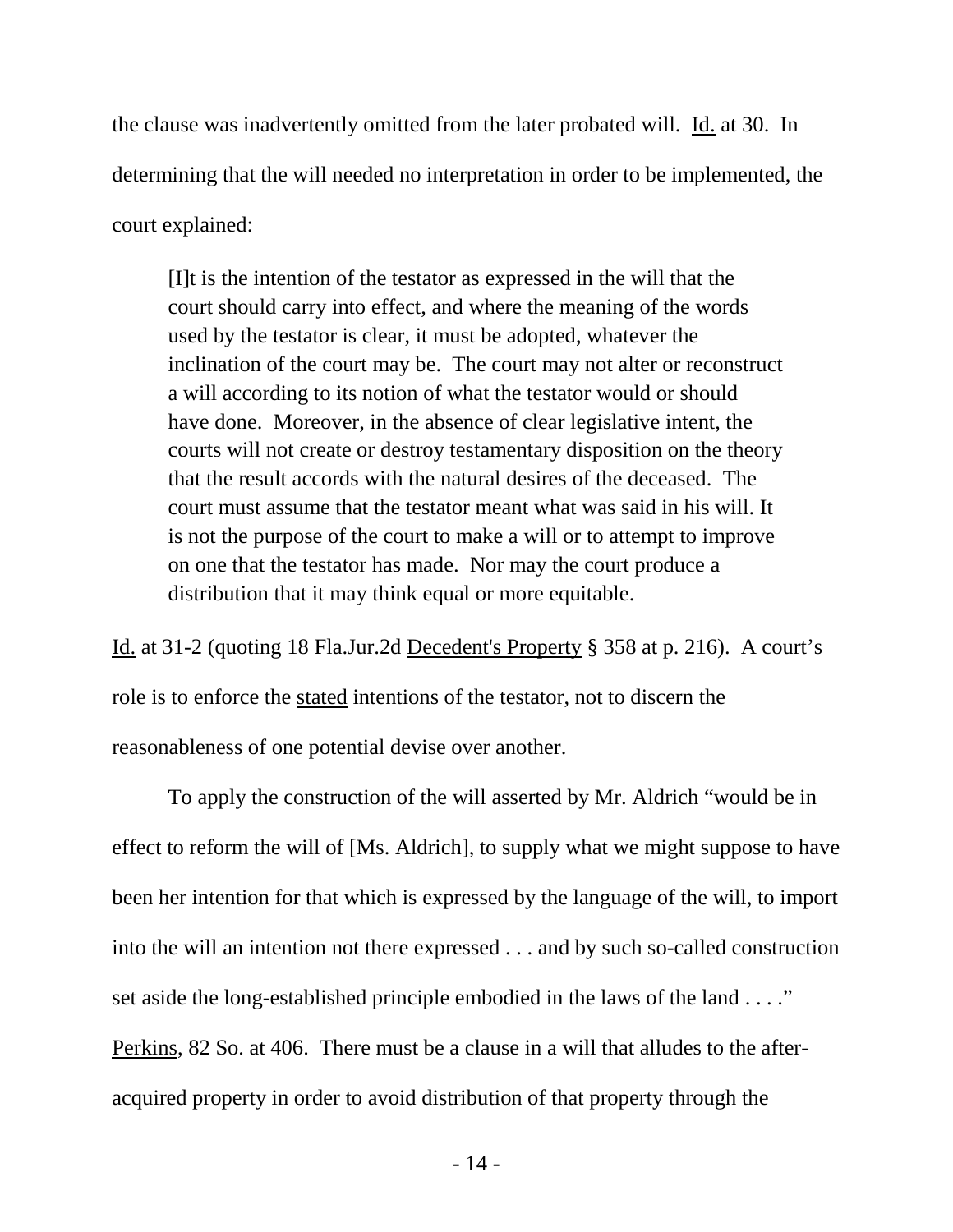the clause was inadvertently omitted from the later probated will. Id. at 30. In determining that the will needed no interpretation in order to be implemented, the court explained:

[I]t is the intention of the testator as expressed in the will that the court should carry into effect, and where the meaning of the words used by the testator is clear, it must be adopted, whatever the inclination of the court may be. The court may not alter or reconstruct a will according to its notion of what the testator would or should have done. Moreover, in the absence of clear legislative intent, the courts will not create or destroy testamentary disposition on the theory that the result accords with the natural desires of the deceased. The court must assume that the testator meant what was said in his will. It is not the purpose of the court to make a will or to attempt to improve on one that the testator has made. Nor may the court produce a distribution that it may think equal or more equitable.

Id. at 31-2 (quoting 18 Fla.Jur.2d Decedent's Property § 358 at p. 216). A court's role is to enforce the stated intentions of the testator, not to discern the reasonableness of one potential devise over another.

To apply the construction of the will asserted by Mr. Aldrich "would be in effect to reform the will of [Ms. Aldrich], to supply what we might suppose to have been her intention for that which is expressed by the language of the will, to import into the will an intention not there expressed . . . and by such so-called construction set aside the long-established principle embodied in the laws of the land . . . ." Perkins, 82 So. at 406. There must be a clause in a will that alludes to the afteracquired property in order to avoid distribution of that property through the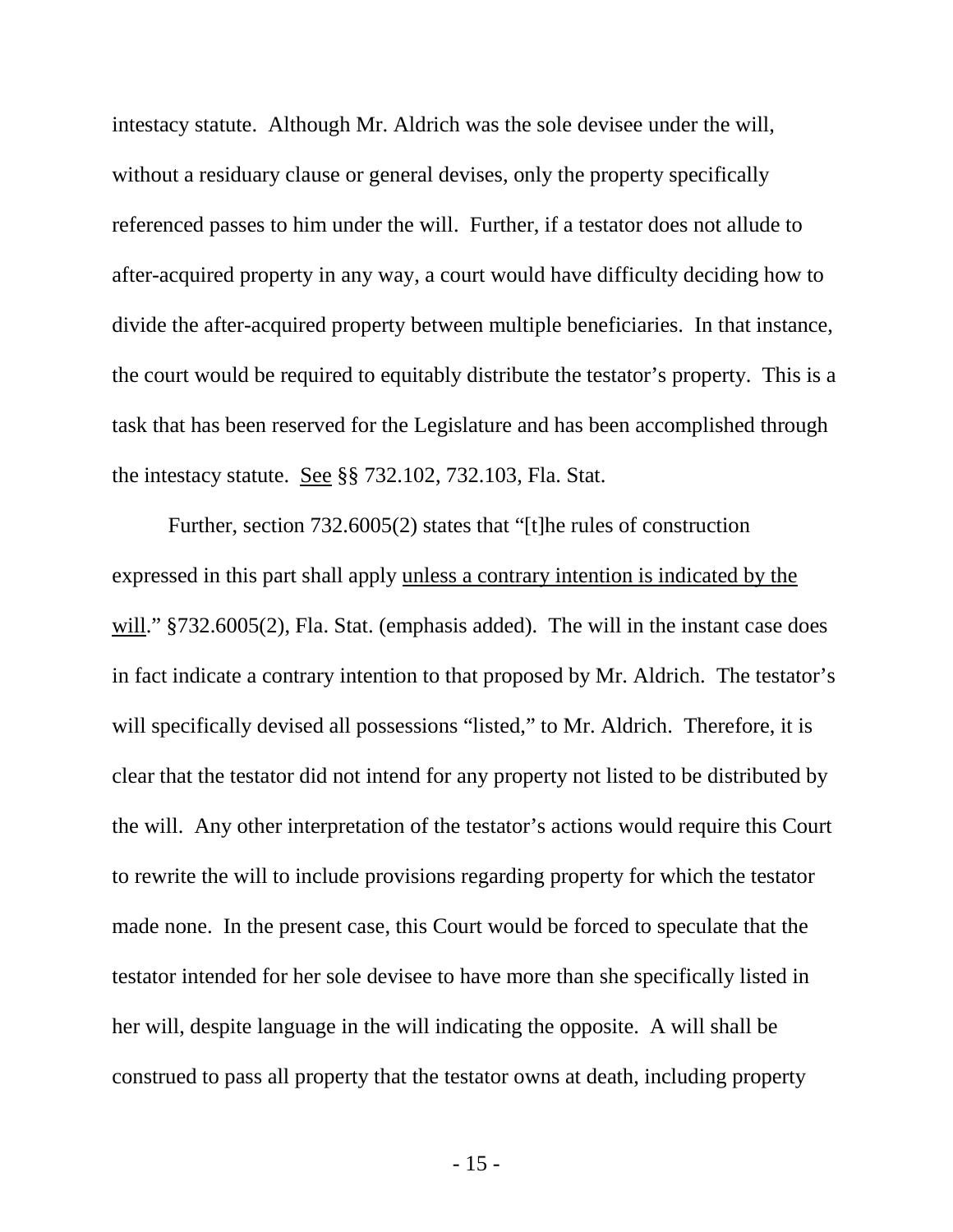intestacy statute. Although Mr. Aldrich was the sole devisee under the will, without a residuary clause or general devises, only the property specifically referenced passes to him under the will. Further, if a testator does not allude to after-acquired property in any way, a court would have difficulty deciding how to divide the after-acquired property between multiple beneficiaries. In that instance, the court would be required to equitably distribute the testator's property. This is a task that has been reserved for the Legislature and has been accomplished through the intestacy statute. See §§ 732.102, 732.103, Fla. Stat.

Further, section 732.6005(2) states that "[t]he rules of construction expressed in this part shall apply unless a contrary intention is indicated by the will." §732.6005(2), Fla. Stat. (emphasis added). The will in the instant case does in fact indicate a contrary intention to that proposed by Mr. Aldrich. The testator's will specifically devised all possessions "listed," to Mr. Aldrich. Therefore, it is clear that the testator did not intend for any property not listed to be distributed by the will. Any other interpretation of the testator's actions would require this Court to rewrite the will to include provisions regarding property for which the testator made none. In the present case, this Court would be forced to speculate that the testator intended for her sole devisee to have more than she specifically listed in her will, despite language in the will indicating the opposite. A will shall be construed to pass all property that the testator owns at death, including property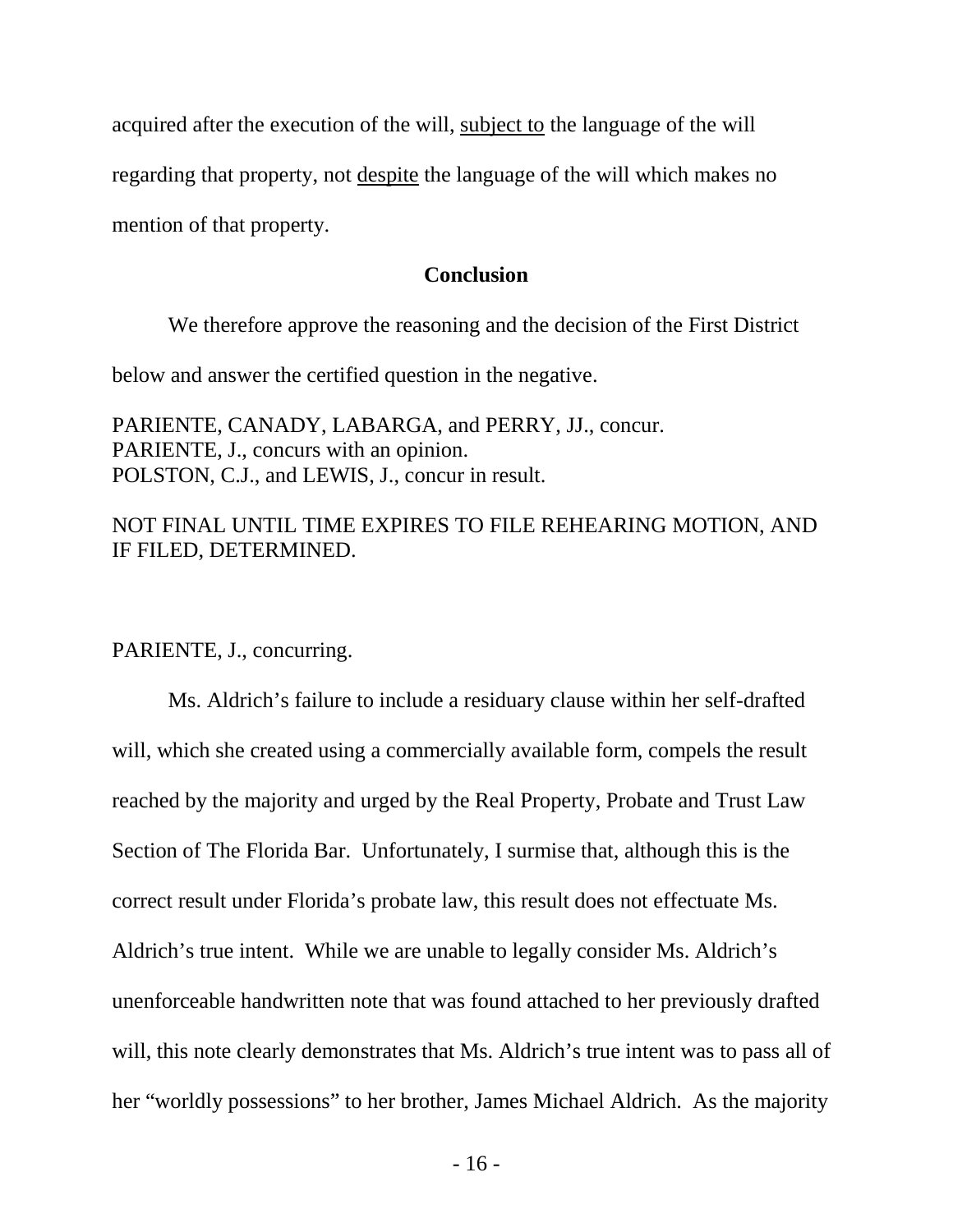acquired after the execution of the will, subject to the language of the will

regarding that property, not despite the language of the will which makes no

mention of that property.

## **Conclusion**

We therefore approve the reasoning and the decision of the First District

below and answer the certified question in the negative.

PARIENTE, CANADY, LABARGA, and PERRY, JJ., concur. PARIENTE, J., concurs with an opinion. POLSTON, C.J., and LEWIS, J., concur in result.

## NOT FINAL UNTIL TIME EXPIRES TO FILE REHEARING MOTION, AND IF FILED, DETERMINED.

PARIENTE, J., concurring.

Ms. Aldrich's failure to include a residuary clause within her self-drafted will, which she created using a commercially available form, compels the result reached by the majority and urged by the Real Property, Probate and Trust Law Section of The Florida Bar. Unfortunately, I surmise that, although this is the correct result under Florida's probate law, this result does not effectuate Ms. Aldrich's true intent. While we are unable to legally consider Ms. Aldrich's unenforceable handwritten note that was found attached to her previously drafted will, this note clearly demonstrates that Ms. Aldrich's true intent was to pass all of her "worldly possessions" to her brother, James Michael Aldrich. As the majority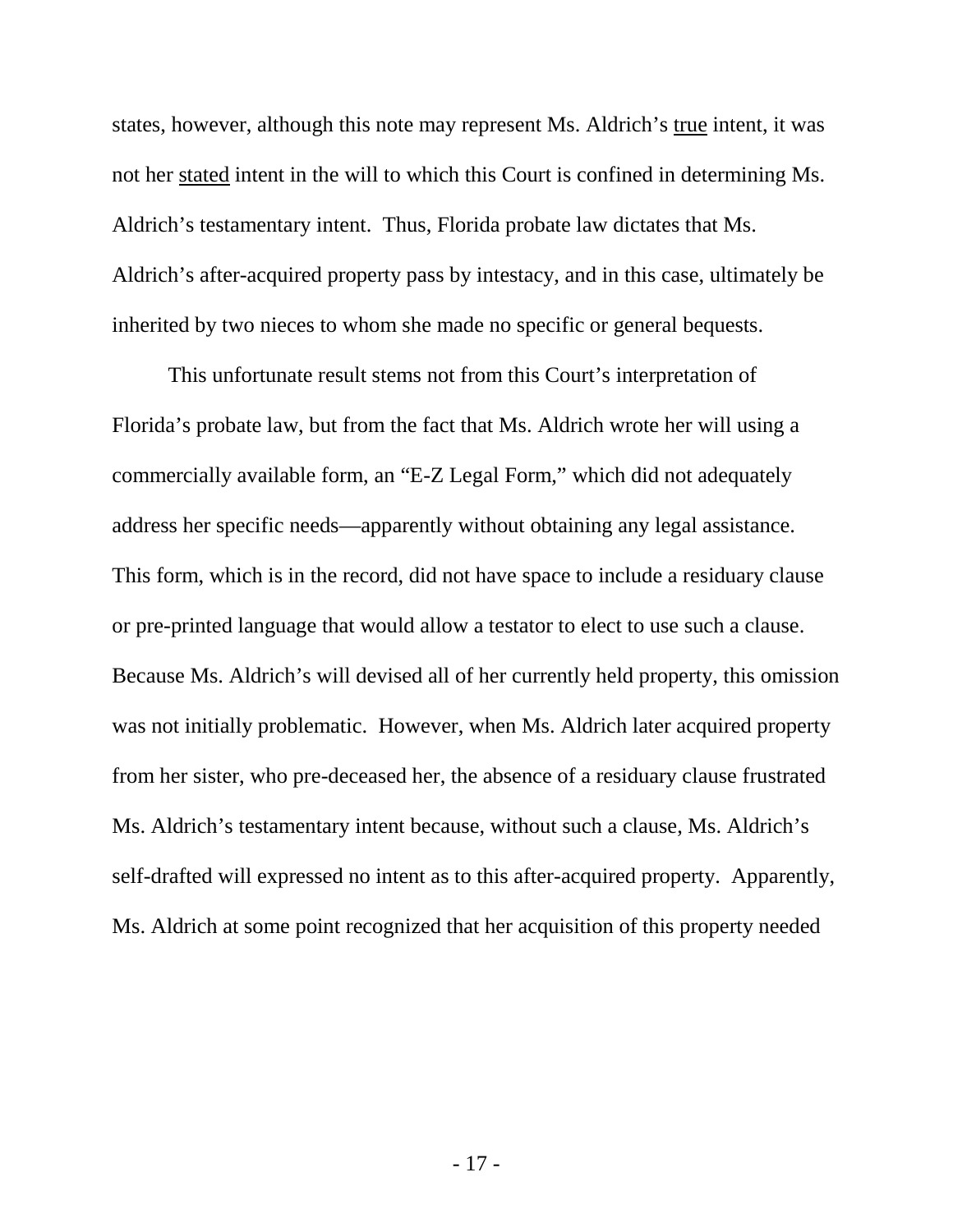states, however, although this note may represent Ms. Aldrich's true intent, it was not her stated intent in the will to which this Court is confined in determining Ms. Aldrich's testamentary intent. Thus, Florida probate law dictates that Ms. Aldrich's after-acquired property pass by intestacy, and in this case, ultimately be inherited by two nieces to whom she made no specific or general bequests.

This unfortunate result stems not from this Court's interpretation of Florida's probate law, but from the fact that Ms. Aldrich wrote her will using a commercially available form, an "E-Z Legal Form," which did not adequately address her specific needs—apparently without obtaining any legal assistance. This form, which is in the record, did not have space to include a residuary clause or pre-printed language that would allow a testator to elect to use such a clause. Because Ms. Aldrich's will devised all of her currently held property, this omission was not initially problematic. However, when Ms. Aldrich later acquired property from her sister, who pre-deceased her, the absence of a residuary clause frustrated Ms. Aldrich's testamentary intent because, without such a clause, Ms. Aldrich's self-drafted will expressed no intent as to this after-acquired property. Apparently, Ms. Aldrich at some point recognized that her acquisition of this property needed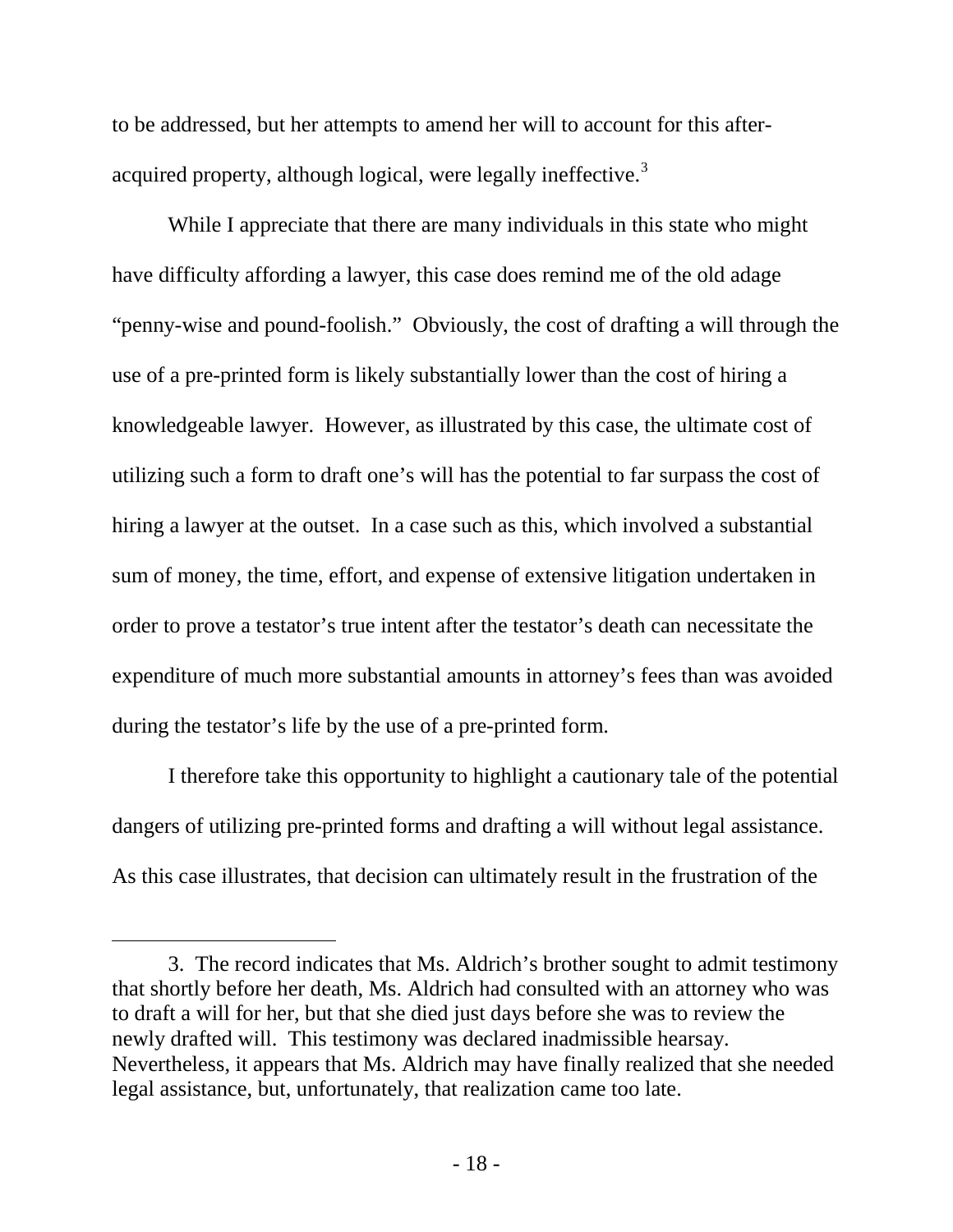to be addressed, but her attempts to amend her will to account for this after-acquired property, although logical, were legally ineffective.<sup>[3](#page-17-0)</sup>

While I appreciate that there are many individuals in this state who might have difficulty affording a lawyer, this case does remind me of the old adage "penny-wise and pound-foolish." Obviously, the cost of drafting a will through the use of a pre-printed form is likely substantially lower than the cost of hiring a knowledgeable lawyer. However, as illustrated by this case, the ultimate cost of utilizing such a form to draft one's will has the potential to far surpass the cost of hiring a lawyer at the outset. In a case such as this, which involved a substantial sum of money, the time, effort, and expense of extensive litigation undertaken in order to prove a testator's true intent after the testator's death can necessitate the expenditure of much more substantial amounts in attorney's fees than was avoided during the testator's life by the use of a pre-printed form.

I therefore take this opportunity to highlight a cautionary tale of the potential dangers of utilizing pre-printed forms and drafting a will without legal assistance. As this case illustrates, that decision can ultimately result in the frustration of the

 $\overline{a}$ 

<span id="page-17-0"></span><sup>3.</sup> The record indicates that Ms. Aldrich's brother sought to admit testimony that shortly before her death, Ms. Aldrich had consulted with an attorney who was to draft a will for her, but that she died just days before she was to review the newly drafted will. This testimony was declared inadmissible hearsay. Nevertheless, it appears that Ms. Aldrich may have finally realized that she needed legal assistance, but, unfortunately, that realization came too late.